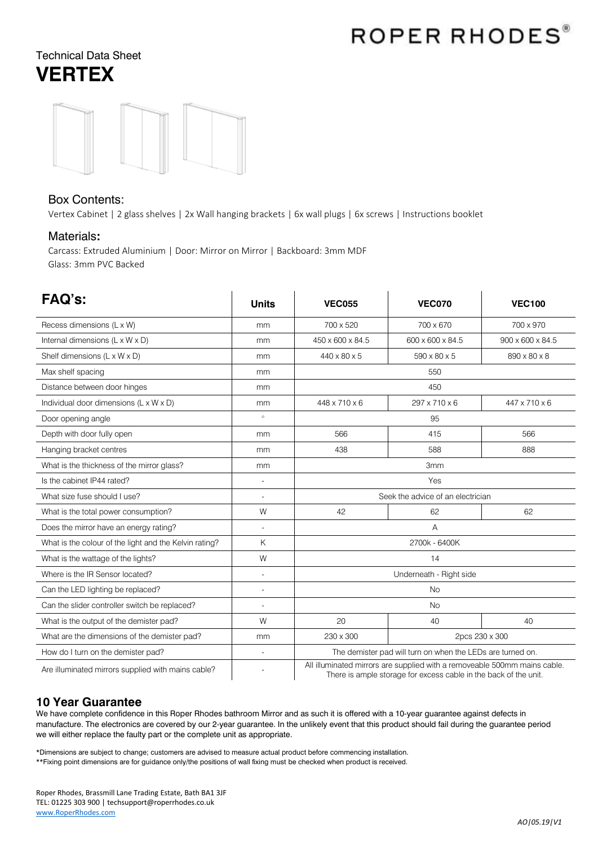# ROPER RHODES®

# Technical Data Sheet **VERTEX**



### Box Contents:

Vertex Cabinet | 2 glass shelves | 2x Wall hanging brackets | 6x wall plugs | 6x screws | Instructions booklet

#### Materials**:**

Carcass: Extruded Aluminium | Door: Mirror on Mirror | Backboard: 3mm MDF Glass: 3mm PVC Backed

| FAQ's:                                                 | <b>Units</b>   | <b>VEC055</b>                                                                                                                                 | <b>VEC070</b>    | <b>VEC100</b>    |
|--------------------------------------------------------|----------------|-----------------------------------------------------------------------------------------------------------------------------------------------|------------------|------------------|
| Recess dimensions (L x W)                              | mm             | 700 x 520                                                                                                                                     | 700 x 670        | 700 x 970        |
| Internal dimensions (L x W x D)                        | mm             | 450 x 600 x 84.5                                                                                                                              | 600 x 600 x 84.5 | 900 x 600 x 84.5 |
| Shelf dimensions (L x W x D)                           | mm             | 440 x 80 x 5                                                                                                                                  | 590 x 80 x 5     | 890 x 80 x 8     |
| Max shelf spacing                                      | mm             | 550                                                                                                                                           |                  |                  |
| Distance between door hinges                           | mm             | 450                                                                                                                                           |                  |                  |
| Individual door dimensions (L x W x D)                 | mm             | 448 x 710 x 6                                                                                                                                 | 297 x 710 x 6    | 447 x 710 x 6    |
| Door opening angle                                     | $\circ$        | 95                                                                                                                                            |                  |                  |
| Depth with door fully open                             | mm             | 566                                                                                                                                           | 415              | 566              |
| Hanging bracket centres                                | mm             | 438                                                                                                                                           | 588              | 888              |
| What is the thickness of the mirror glass?             | mm             | 3 <sub>mm</sub>                                                                                                                               |                  |                  |
| Is the cabinet IP44 rated?                             | $\overline{a}$ | Yes                                                                                                                                           |                  |                  |
| What size fuse should I use?                           |                | Seek the advice of an electrician                                                                                                             |                  |                  |
| What is the total power consumption?                   | W              | 42                                                                                                                                            | 62               | 62               |
| Does the mirror have an energy rating?                 | $\overline{a}$ | A                                                                                                                                             |                  |                  |
| What is the colour of the light and the Kelvin rating? | K              | 2700k - 6400K                                                                                                                                 |                  |                  |
| What is the wattage of the lights?                     | W              | 14                                                                                                                                            |                  |                  |
| Where is the IR Sensor located?                        | $\overline{a}$ | Underneath - Right side                                                                                                                       |                  |                  |
| Can the LED lighting be replaced?                      | $\overline{a}$ | <b>No</b>                                                                                                                                     |                  |                  |
| Can the slider controller switch be replaced?          | $\overline{a}$ | <b>No</b>                                                                                                                                     |                  |                  |
| What is the output of the demister pad?                | W              | 20                                                                                                                                            | 40               | 40               |
| What are the dimensions of the demister pad?           | mm             | 230 x 300<br>2pcs 230 x 300                                                                                                                   |                  |                  |
| How do I turn on the demister pad?                     | $\overline{a}$ | The demister pad will turn on when the LEDs are turned on.                                                                                    |                  |                  |
| Are illuminated mirrors supplied with mains cable?     |                | All illuminated mirrors are supplied with a removeable 500mm mains cable.<br>There is ample storage for excess cable in the back of the unit. |                  |                  |

## **10 Year Guarantee**

We have complete confidence in this Roper Rhodes bathroom Mirror and as such it is offered with a 10-year guarantee against defects in manufacture. The electronics are covered by our 2-year guarantee. In the unlikely event that this product should fail during the guarantee period we will either replace the faulty part or the complete unit as appropriate.

\*Dimensions are subject to change; customers are advised to measure actual product before commencing installation.

\*\*Fixing point dimensions are for guidance only/the positions of wall fixing must be checked when product is received.